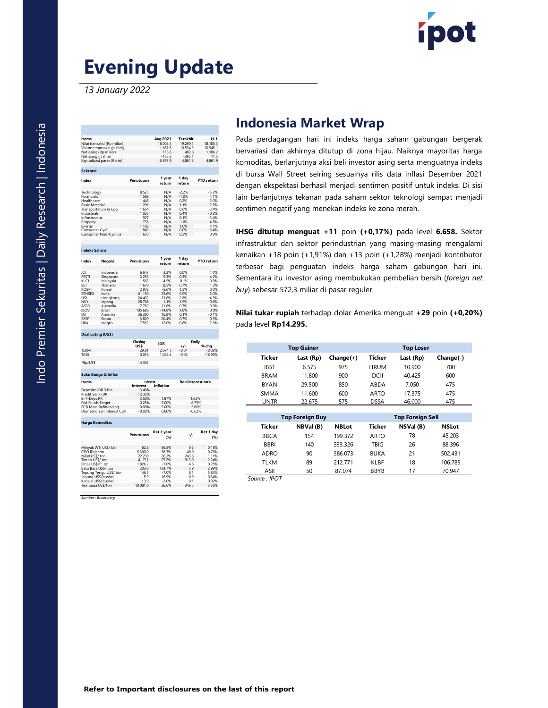

## Evening Update

|                                                                                                                                                    | <b>Evening Update</b>                                                                                                                         |                                                                                                               |                                                                                                                          |                                                                                                           |                                                                                                               |                                                                                                                                                                                                |                                                                                                                                                                                                                                                              |              |               |                  |            |  |  |  |  |
|----------------------------------------------------------------------------------------------------------------------------------------------------|-----------------------------------------------------------------------------------------------------------------------------------------------|---------------------------------------------------------------------------------------------------------------|--------------------------------------------------------------------------------------------------------------------------|-----------------------------------------------------------------------------------------------------------|---------------------------------------------------------------------------------------------------------------|------------------------------------------------------------------------------------------------------------------------------------------------------------------------------------------------|--------------------------------------------------------------------------------------------------------------------------------------------------------------------------------------------------------------------------------------------------------------|--------------|---------------|------------------|------------|--|--|--|--|
|                                                                                                                                                    | 13 January 2022                                                                                                                               |                                                                                                               |                                                                                                                          |                                                                                                           |                                                                                                               |                                                                                                                                                                                                |                                                                                                                                                                                                                                                              |              |               |                  |            |  |  |  |  |
|                                                                                                                                                    |                                                                                                                                               |                                                                                                               |                                                                                                                          |                                                                                                           |                                                                                                               | <b>Indonesia Market Wrap</b>                                                                                                                                                                   |                                                                                                                                                                                                                                                              |              |               |                  |            |  |  |  |  |
| Items                                                                                                                                              | Nilai transaksi (Rp miliar)<br>Volume transaksi (jt shm)<br>Net asing (Rp miliar)<br>Net asing (it shm)<br>Kapitalisasi pasar (Rp tn)         | Avg 2021<br>18,002.4<br>11,667.8<br>$155.6 - 185.2$<br>6,977.9                                                |                                                                                                                          | Terakhir<br>19,290.1<br>10.534.3<br>482.8<br>$-395.1$<br>4.861.2                                          | $H-1$<br>18, 105.3<br>10,945.1<br>$1,106.2$<br>11.5<br>4,861.9                                                | Pada perdagangan hari ini indeks harga saham gabungan l<br>bervariasi dan akhirnya ditutup di zona hijau. Naiknya mayorita<br>komoditas, berlanjutnya aksi beli investor asing serta menguatny |                                                                                                                                                                                                                                                              |              |               |                  |            |  |  |  |  |
| <b>Sektoral</b><br>Index                                                                                                                           |                                                                                                                                               | Penutupan                                                                                                     | 1 year<br>return                                                                                                         | 1 day<br>return                                                                                           | <b>YTD return</b>                                                                                             | di bursa Wall Street seiring sesuainya rilis data inflasi Desemb                                                                                                                               |                                                                                                                                                                                                                                                              |              |               |                  |            |  |  |  |  |
| Technology<br>Financials<br>Healthcare<br><b>Basic Material</b><br>Industrials<br>Infrastructur<br>Property<br>Energy                              | Transportation & Log<br>Consumer Cycl<br>Consumer Non-Cyclica                                                                                 | 8,525<br>1,589<br>1,448<br>1,201<br>1,654<br>1,035<br>927<br>738<br>1,186<br>843<br>670                       | N/A<br>N/A<br>N/A<br>$N/A$<br>$N/A$<br>N/A<br>N/A<br>N/A<br>N/A<br>N/A<br>N/A                                            | $-22%$<br>$-1.0%$<br>$0.2%$<br>$1.1%$<br>0.6%<br>0.4%<br>$0.1\% - 1.0\%$<br>1.0%<br>0.0%<br>0.5%          | $-5.2\%$<br>4.1%<br>2.0%<br>$-2.7%$<br>3.4%<br>$-0.2%$<br>$-3.4%$<br>$-4.5%$<br>$4.1\%$<br>$-6.4\%$<br>0.9%   |                                                                                                                                                                                                | dengan ekspektasi berhasil menjadi sentimen positif untuk indek<br>lain berlanjutnya tekanan pada saham sektor teknologi sempat<br>sentimen negatif yang menekan indeks ke zona merah.<br><b>IHSG ditutup menguat +11</b> poin $(+0,17%)$ pada level $6.658$ |              |               |                  |            |  |  |  |  |
| <b>Indeks Saham</b>                                                                                                                                |                                                                                                                                               |                                                                                                               |                                                                                                                          |                                                                                                           |                                                                                                               |                                                                                                                                                                                                | infrastruktur dan sektor perindustrian yang masing-masing me<br>kenaikan +18 poin (+1,91%) dan +13 poin (+1,28%) menjadi ko                                                                                                                                  |              |               |                  |            |  |  |  |  |
| Index<br>Negara                                                                                                                                    |                                                                                                                                               | Penutupan                                                                                                     | 1 year<br>return                                                                                                         | 1 day<br>return                                                                                           | <b>YTD return</b>                                                                                             | terbesar bagi penguatan indeks harga saham gabungan                                                                                                                                            |                                                                                                                                                                                                                                                              |              |               |                  |            |  |  |  |  |
| JCI<br>FSSTI<br>KLCI<br><b>SET</b><br><b>KOSPI</b><br>SENSEX<br>HSI<br><b>NKY</b><br>AS30<br><b>IBOV</b><br>DJI<br>SX <sub>5</sub> P<br><b>UKX</b> | Indonesia<br>Singapura<br>Malaysia<br>Thailand<br>Korsel<br>India<br>Honakona<br>Jepang<br>Australia<br>Brasil<br>Amerika<br>Eropa<br>Inggris | 6.647<br>3,255<br>1,563<br>1,679<br>2,972<br>24.402<br>28,766<br>7,762<br>105,686<br>36.290<br>3,829<br>7,552 | 3.3%<br>9.3%<br>$-4.5%$<br>8.5%<br>$-5.6%$<br>23.6%<br>$-13.6\%$<br>1.1%<br>11.6%<br>$-14.8%$<br>16.8%<br>20.4%<br>12.0% | 0.0%<br>0.3%<br>$-0.1%$<br>$0.7%$<br>1.5%<br>0.9%<br>2.8%<br>1.9%<br>0.7%<br>1.8%<br>0.1%<br>0.7%<br>0.8% | 1.0%<br>4.2%<br>$-0.3%$<br>$1.3%$<br>0.0%<br>5.0%<br>$4.3\%$ -0.6%<br>0.3%<br>0.8%<br>$-0.1%$<br>0.3%<br>2.3% |                                                                                                                                                                                                | Sementara itu investor asing membukukan pembelian bersih (for<br>buy) sebesar 572,3 miliar di pasar reguler.<br>Nilai tukar rupiah terhadap dolar Amerika menguat +29 poin (<br>pada level Rp14.295.                                                         |              |               |                  |            |  |  |  |  |
|                                                                                                                                                    | Dual Listing (US\$)                                                                                                                           | Closing                                                                                                       |                                                                                                                          | <b>Daily</b>                                                                                              |                                                                                                               |                                                                                                                                                                                                |                                                                                                                                                                                                                                                              |              |               |                  |            |  |  |  |  |
| <b>TLKM</b>                                                                                                                                        |                                                                                                                                               | $\frac{USS}{29.01}$                                                                                           | <b>IDR</b><br>2,074.7                                                                                                    | $^{+/-}_{-0.01}$                                                                                          | $%$ cha<br>$-0.03%$                                                                                           |                                                                                                                                                                                                | <b>Top Gainer</b>                                                                                                                                                                                                                                            |              |               | <b>Top Loser</b> |            |  |  |  |  |
| TINS<br>*Rp/US\$                                                                                                                                   |                                                                                                                                               | 0.076<br>14.303                                                                                               | 1,088.2                                                                                                                  | $-0.02$                                                                                                   | 18.90%                                                                                                        | <b>Ticker</b>                                                                                                                                                                                  | Last (Rp)                                                                                                                                                                                                                                                    | $Change(+)$  | Ticker        | Last (Rp)        | Chang      |  |  |  |  |
|                                                                                                                                                    |                                                                                                                                               |                                                                                                               |                                                                                                                          |                                                                                                           |                                                                                                               | <b>IBST</b>                                                                                                                                                                                    | 6.575                                                                                                                                                                                                                                                        | 975          | <b>HRUM</b>   | 10.900           | 700        |  |  |  |  |
| Items                                                                                                                                              | Suku Bunga & Inflasi                                                                                                                          | Latest                                                                                                        |                                                                                                                          | <b>Real interest rate</b>                                                                                 |                                                                                                               | <b>BRAM</b>                                                                                                                                                                                    | 11,800                                                                                                                                                                                                                                                       | 900          | DCII          | 40.425           | 600        |  |  |  |  |
|                                                                                                                                                    | Deposito IDR 3 bln                                                                                                                            | Interest<br>3.40%                                                                                             | <b>Inflation</b>                                                                                                         |                                                                                                           |                                                                                                               | <b>BYAN</b>                                                                                                                                                                                    | 29.500                                                                                                                                                                                                                                                       | 850          | ABDA          | 7.050            | 475        |  |  |  |  |
|                                                                                                                                                    | Kredit Bank IDR<br>BI 7-Days RR                                                                                                               | 12.32%<br>3 50%                                                                                               | 1.87%                                                                                                                    | 1.63%                                                                                                     |                                                                                                               | <b>SMMA</b>                                                                                                                                                                                    | 11.600                                                                                                                                                                                                                                                       | 600          | <b>ARTO</b>   | 17.375           | 475        |  |  |  |  |
|                                                                                                                                                    | Fed Funds Target<br><b>ECB Main Refinancing</b>                                                                                               | 0.25%<br>0.00%                                                                                                | 7.00%<br>5.00%                                                                                                           | $-6.75%$<br>$-5.00%$                                                                                      |                                                                                                               | <b>UNTR</b>                                                                                                                                                                                    | 22.675                                                                                                                                                                                                                                                       | 575          | <b>DSSA</b>   | 46.000           | 475        |  |  |  |  |
|                                                                                                                                                    | Domestic Yen Interest Call                                                                                                                    | $-0.02%$                                                                                                      | 0.60%                                                                                                                    | $-0.62%$                                                                                                  |                                                                                                               |                                                                                                                                                                                                |                                                                                                                                                                                                                                                              |              |               |                  |            |  |  |  |  |
|                                                                                                                                                    | <b>Harga Komoditas</b>                                                                                                                        |                                                                                                               |                                                                                                                          |                                                                                                           |                                                                                                               |                                                                                                                                                                                                | <b>Top Foreign Buy</b>                                                                                                                                                                                                                                       |              |               | Top Foreign Sell |            |  |  |  |  |
|                                                                                                                                                    |                                                                                                                                               | Penutupan                                                                                                     | Ret 1 year                                                                                                               |                                                                                                           | Ret 1 day                                                                                                     | <b>Ticker</b>                                                                                                                                                                                  | NBVal(B)                                                                                                                                                                                                                                                     | <b>NBLot</b> | <b>Ticker</b> | NSVal (B)<br>78  | <b>NSL</b> |  |  |  |  |
|                                                                                                                                                    |                                                                                                                                               |                                                                                                               | (% )                                                                                                                     |                                                                                                           | (%)                                                                                                           | <b>BBCA</b>                                                                                                                                                                                    | 154                                                                                                                                                                                                                                                          | 199.372      | <b>ARTO</b>   |                  | 45.2       |  |  |  |  |
|                                                                                                                                                    | Minyak WTI US\$/ bbl                                                                                                                          | 82.8                                                                                                          | 56.5%                                                                                                                    | 0.2                                                                                                       | 0.18%                                                                                                         | <b>BBRI</b>                                                                                                                                                                                    | 140                                                                                                                                                                                                                                                          | 333.326      | <b>TBIG</b>   | 26               | 88.3       |  |  |  |  |
| CPO RM/ton                                                                                                                                         | Nikel US\$/ ton<br>Timah US\$/ ton                                                                                                            | 5,300.0<br>22,230<br>41,711                                                                                   | 36.3%<br>26.2%<br>97.2%                                                                                                  | 40.0<br>243.8<br>913.0                                                                                    | 0.76%<br>1.11%<br>2.24%                                                                                       | <b>ADRO</b>                                                                                                                                                                                    | 90                                                                                                                                                                                                                                                           | 386.073      | <b>BUKA</b>   | 21               | 502.4      |  |  |  |  |
|                                                                                                                                                    | Emas US\$/tr. oz                                                                                                                              | 1,826.2                                                                                                       | $-1.0%$                                                                                                                  | 4.6                                                                                                       | 0.25%                                                                                                         | <b>TLKM</b>                                                                                                                                                                                    | 89                                                                                                                                                                                                                                                           | 212.771      | <b>KLBF</b>   | 18               | 106.7      |  |  |  |  |
|                                                                                                                                                    | Batu Bara US\$/ ton<br>Tepung Terigu US\$/ ton<br>Jagung US\$/bushel                                                                          | 203.0<br>146.5<br>5.9                                                                                         | 134.7%<br>$-7.0%$<br>16.9%                                                                                               | $\frac{5.9}{8.1}$<br>0.0                                                                                  | 2.99%<br>$-0.34%$                                                                                             | ASII                                                                                                                                                                                           | 50                                                                                                                                                                                                                                                           | 87.074       | <b>BBYB</b>   | 17               | 70.9       |  |  |  |  |
|                                                                                                                                                    | Kedelai US\$/bushel                                                                                                                           | 13.9                                                                                                          | $-2.0%$                                                                                                                  | 0.1                                                                                                       | 0.92%                                                                                                         | Source: IPOT                                                                                                                                                                                   |                                                                                                                                                                                                                                                              |              |               |                  |            |  |  |  |  |
|                                                                                                                                                    | Tembaga US\$/ton                                                                                                                              | 10,081.0                                                                                                      | 26.6%                                                                                                                    | 346.5                                                                                                     | 3.56%                                                                                                         |                                                                                                                                                                                                |                                                                                                                                                                                                                                                              |              |               |                  |            |  |  |  |  |

### Indonesia Market Wrap

Evening Update<br>
13 January 2022<br>
13 January 2022<br>
14 January 2022<br>
14 January 2022<br>
14 January 2022<br>
14 January 2022<br>
14 January 2022<br>
14 January 2022<br>
14 January 2022<br>
14 Magnetic Material Streng set an advisor and in ind 1 day return YTD return dengan ekspektasi berhasil menjadi sentimen positif untuk indeks. Di sisi Technology 8525 N/A -22% -5.2% -5.2% |<br>Financials - 1.589 N/A -1.0% - 4.1% | ain berlanjutnya tekanan pada saham sektor teknologi sempat menjadi -<br>Healthcare - 1.448 N/A 0.2% - 2.0% | 2.0% | ain berlanjutnya tekanan pada s Basic Material 1,201 N/A 1.1% -2.7% Transportation & Log 1,654 N/A 0.6% 3.4% Industrials 1,035 N/A 0.4% -0.2% sentimen negatif yang menekan indeks ke zona merah. Pada perdagangan hari ini indeks harga saham gabungan bergerak bervariasi dan akhirnya ditutup di zona hijau. Naiknya mayoritas harga komoditas, berlanjutnya aksi beli investor asing serta menguatnya indeks di bursa Wall Street seiring sesuainya rilis data inflasi Desember 2021 **DIESIA IWATKET WTAP**<br>
Berdagangan hari ini indeks harga saham gabungan bergerak<br>
sis dan akhirnya ditutup di zona hijau. Naiknya mayoritas harga<br>
tas, berlanjutnya aksi beli investor asing serta menguatnya indeks<br>
a Wall erdagangan hari ini indeks harga saham gabungan bergerak<br>
idan akhirnya ditutup di zona hijau. Naiknya mayoritas harga<br>
sas, berlanjutnya katis beli investor asing setra mengutanya indeks<br>
Wall Street seiring sesuainya ril Example 11. The motes are may be similar subsequent the stating and thing a ditution is is idea in this interaction and SMI state in the sepekhati be a Wall Street sering sesuarinya rilis data inflasi Desember 2021<br>Alanya **Example 18 Market Wrap**<br>
Signaphari ini indeks harga saham gabungan bergerak<br>
sakhirnya ditutup di zona hijau. Naiknya mayoritas harga<br>
sainyathya aksi beli investor asing serta menguatnya indeks<br>
Sitreet seiring sesuainy

| Net asing (Rp miliar)<br>Net asing (jt shm)<br>Kapitalisasi pasar (Rp tn)                |           |                                               | 155.6<br>$-185.2$<br>6,977.9         | 482.8<br>$-395.1$<br>4,861.2                          | 1,106.2<br>11.5<br>4,861.9                       |                            |                      |                        |                                             | bervariasi dan akhirnya ditutup di zona hijau. Naiknya mayoritas harga<br>komoditas, berlanjutnya aksi beli investor asing serta menguatnya indeks |
|------------------------------------------------------------------------------------------|-----------|-----------------------------------------------|--------------------------------------|-------------------------------------------------------|--------------------------------------------------|----------------------------|----------------------|------------------------|---------------------------------------------|----------------------------------------------------------------------------------------------------------------------------------------------------|
| <b>Sektoral</b>                                                                          |           |                                               |                                      |                                                       |                                                  |                            |                      |                        |                                             | di bursa Wall Street seiring sesuainya rilis data inflasi Desember 2021                                                                            |
| Index                                                                                    |           | Penutupan                                     | 1 year<br>return                     | 1 day<br>return                                       | <b>YTD</b> return                                |                            |                      |                        |                                             | dengan ekspektasi berhasil menjadi sentimen positif untuk indeks. Di sisi                                                                          |
| Technology<br>Financials<br>Healthcare<br><b>Basic Material</b><br>Transportation & Log  |           | 8,525<br>1,589<br>1,448<br>$1,201$<br>$1,654$ | N/A<br>N/A<br>N/A<br>N/A<br>N/A      | $-2.2\%$<br>$-1.0\%$<br>0.2%<br>$\frac{1.1\%}{0.6\%}$ | $-5.2%$<br>4.1%<br>2.0%<br>$-2.7\%$<br>3.4%      |                            |                      |                        |                                             | lain berlanjutnya tekanan pada saham sektor teknologi sempat menjadi<br>sentimen negatif yang menekan indeks ke zona merah.                        |
| Industrials<br>Infrastructur<br>Property<br>Energy<br>Consumer Cycl                      |           | 1,035<br>927<br>738<br>1,186<br>843           | N/A<br>N/A<br>N/A<br>N/A<br>N/A      | 0.4%<br>0.1%<br>$-1.0%$<br>1.0%<br>0.0%               | $-0.2%$<br>$-3.4%$<br>$-4.5%$<br>4.1%<br>$-6.4%$ |                            |                      |                        |                                             |                                                                                                                                                    |
| Consumer Non-Cyclica                                                                     |           | 670                                           | N/A                                  | 0.5%                                                  | 0.9%                                             |                            |                      |                        |                                             | IHSG ditutup menguat +11 poin (+0,17%) pada level 6.658. Sektor                                                                                    |
| <b>Indeks Saham</b>                                                                      |           |                                               |                                      |                                                       |                                                  |                            |                      |                        |                                             | infrastruktur dan sektor perindustrian yang masing-masing mengalami                                                                                |
| Index<br>Negara                                                                          |           | Penutupan                                     | 1 year<br>return                     | 1 day<br>return                                       | <b>YTD return</b>                                |                            |                      |                        |                                             | kenaikan +18 poin $(+1,91\%)$ dan +13 poin $(+1,28\%)$ menjadi kontributor                                                                         |
| JCI                                                                                      | Indonesia | 6,647                                         | 3.3%                                 | 0.0%                                                  | 1.0%                                             |                            |                      |                        |                                             | terbesar bagi penguatan indeks harga saham gabungan hari ini.                                                                                      |
| FSSTI<br>KLCI<br>Malaysia<br>SET<br>Thailand                                             | Singapura | 3,255<br>1,563<br>1,679                       | 9.3%<br>$-4.5%$<br>8.5%              | 0.3%<br>$-0.1%$<br>0.7%                               | $4.2\%$<br>1.3%                                  |                            |                      |                        |                                             | Sementara itu investor asing membukukan pembelian bersih (foreign net                                                                              |
| KOSPI<br>Korsel<br>SENSEX<br>India<br>HSI                                                | Hongkong  | 2.972<br>61.150<br>24,402                     | $-5.6%$<br>23.6%<br>$-13.6%$         | 1.5%<br>0.9%<br>2.8%                                  | 0.0%<br>5.0%<br>4.3%                             |                            |                      |                        | buy) sebesar 572,3 miliar di pasar reguler. |                                                                                                                                                    |
| NKY<br>Jepang<br>AS30<br>Australia                                                       |           | 28,766<br>7,762                               | 1.1%<br>11.6%                        | 1.9%<br>0.7%                                          | $-0.6%$<br>0.3%                                  |                            |                      |                        |                                             |                                                                                                                                                    |
| <b>IBOV</b><br>Brasil<br>DЛ<br>Amerika<br>SX5P<br>Eropa                                  |           | 105,686<br>36,290<br>3.829                    | $-14.8%$<br>16.8%<br>20.4%           | 1.8%<br>0.1%<br>0.7%                                  | 0.8%<br>$-0.1%$<br>0.3%                          |                            |                      |                        |                                             | Nilai tukar rupiah terhadap dolar Amerika menguat +29 poin (+0,20%)                                                                                |
| UKX<br>Ingaris                                                                           |           | 7,552                                         | 12.0%                                | 0.8%                                                  | 2.3%                                             |                            | pada level Rp14.295. |                        |                                             |                                                                                                                                                    |
| Dual Listing (US\$)                                                                      |           | Closing                                       |                                      |                                                       | <b>Daily</b>                                     |                            |                      |                        |                                             |                                                                                                                                                    |
| <b>TLKM</b>                                                                              |           | US\$<br>29.01                                 | <b>IDR</b><br>2,074.7                | $+/-$<br>$-0.01$                                      | $%$ chq<br>$-0.03%$                              |                            | <b>Top Gainer</b>    |                        |                                             | <b>Top Loser</b>                                                                                                                                   |
| TINS<br>*Rp/US\$                                                                         |           | 0.076<br>14,303                               | 1,088.2                              | $-0.02$                                               | $-18.90%$                                        | <b>Ticker</b>              | Last (Rp)            | Change(+)              | <b>Ticker</b>                               | Last (Rp)                                                                                                                                          |
| Suku Bunga & Inflasi                                                                     |           |                                               |                                      |                                                       |                                                  | <b>IBST</b><br><b>BRAM</b> | 6.575<br>11.800      | 975<br>900             | <b>HRUM</b><br>DCII                         | 10.900<br>40.425                                                                                                                                   |
| Items                                                                                    |           | Latest<br>Interest                            | Inflation                            |                                                       | <b>Real interest rate</b>                        | <b>BYAN</b>                | 29.500               | 850                    | ABDA                                        | 7.050                                                                                                                                              |
| Deposito IDR 3 bln<br>Kredit Bank IDR                                                    |           | 3.40%<br>12.32%                               |                                      |                                                       |                                                  | SMMA                       | 11.600               | 600                    | <b>ARTO</b>                                 | 17.375                                                                                                                                             |
| BI 7-Days RR<br>Fed Funds Target<br><b>ECB Main Refinancing</b>                          |           | 3.50%<br>0.25%<br>0.00%                       | 1.87%<br>7.00%<br>5.00%              |                                                       | 1.63%<br>$-6.75%$                                | <b>UNTR</b>                | 22.675               | 575                    | <b>DSSA</b>                                 | 46.000                                                                                                                                             |
| Domestic Yen Interest Call                                                               |           | $-0.02%$                                      | 0.60%                                |                                                       | $-5.00\%$<br>$-0.62\%$                           |                            |                      | <b>Top Foreign Buy</b> |                                             | <b>Top Foreign Sell</b>                                                                                                                            |
| Harga Komoditas                                                                          |           |                                               |                                      |                                                       |                                                  | Ticker                     | NBVal (B)            | <b>NBLot</b>           | Ticker                                      | NSVal (B)                                                                                                                                          |
|                                                                                          |           | Penutupan                                     | Ret 1 year<br>$(\%)$                 | $+/-$                                                 | Ret 1 day<br>(%)                                 | <b>BBCA</b>                | 154                  | 199.372                | <b>ARTO</b>                                 | 78                                                                                                                                                 |
| Minyak WTI US\$/ bbl                                                                     |           | 82.8                                          | 56.5%                                | 0.2                                                   | 0.18%                                            | <b>BBRI</b>                | 140                  | 333.326                | <b>TBIG</b>                                 | 26                                                                                                                                                 |
| CPO RM/ ton<br>Nikel US\$/ ton<br>Timah US\$/ ton                                        |           | 5,300.0<br>22,230<br>41,711                   | 36.3%<br>26.2%<br>97.2%              | 40.0<br>243.8<br>913.0                                | 0.76%<br>1.11%<br>2.24%                          | ADRO                       | 90                   | 386.073                | <b>BUKA</b>                                 | 21                                                                                                                                                 |
| Emas US\$/tr. oz<br>Batu Bara US\$/ ton                                                  |           | 1,826.2<br>203.0                              | $-1.0%$<br>134.7%                    | 4.6<br>5.9                                            | 0.25%<br>2.99%                                   | <b>TLKM</b><br>ASII        | 89<br>50             | 212.771<br>87.074      | KLBF<br>BBYB                                | 18<br>17                                                                                                                                           |
| Tepung Terigu US\$/ ton<br>Jaqung US\$/bushel<br>Kedelai US\$/bushel<br>Tembaga US\$/ton |           | 146.5<br>5.9<br>13.9<br>10,081.0              | $-7.0%$<br>16.9%<br>$-2.0%$<br>26.6% | 8.1<br>0.0<br>0.1<br>346.5                            | 5.84%<br>$-0.34%$<br>0.92%<br>3.56%              |                            | Source: IPOT         |                        |                                             |                                                                                                                                                    |
| Sumber: Bloomberg                                                                        |           |                                               |                                      |                                                       |                                                  |                            |                      |                        |                                             |                                                                                                                                                    |
|                                                                                          |           |                                               |                                      |                                                       |                                                  |                            |                      |                        |                                             |                                                                                                                                                    |
|                                                                                          |           |                                               |                                      |                                                       |                                                  |                            |                      |                        |                                             |                                                                                                                                                    |
|                                                                                          |           |                                               |                                      |                                                       |                                                  |                            |                      |                        |                                             |                                                                                                                                                    |

|                                                       |                           |                         |                       |                         |              | <b>Top Foreign Buy</b> | <b>Top Foreign Sell</b> |             |           |  |
|-------------------------------------------------------|---------------------------|-------------------------|-----------------------|-------------------------|--------------|------------------------|-------------------------|-------------|-----------|--|
| Harga Komoditas                                       |                           |                         |                       |                         |              |                        |                         |             |           |  |
|                                                       |                           |                         |                       |                         | Ticker       | <b>NBVal</b> (B)       | <b>NBLot</b>            | Ticker      | NSVal (B) |  |
|                                                       | Penutupan                 | Ret 1 year<br>(%)       | $+/-$                 | Ret 1 day<br>(% )       | <b>BBCA</b>  | 154                    | 199.372                 | <b>ARTO</b> | 78        |  |
|                                                       |                           |                         |                       |                         | <b>BBRI</b>  | 140                    | 333.326                 | TBIG        | 26        |  |
| Minvak WTI US\$/ bbl<br>CPO RM/ton<br>Nikel US\$/ ton | 82.8<br>5.300.0<br>22.230 | 56.5%<br>36.3%<br>26.2% | 0.2<br>40.0<br>243.8  | 0.18%<br>0.76%<br>1.11% | <b>ADRO</b>  | 90                     | 386.073                 | <b>BUKA</b> | 21        |  |
| Timah US\$/ ton<br>Emas US\$/tr. oz                   | 41.711<br>1.826.2         | 97.2%<br>$-1.0%$        | 913.0<br>4.6          | 2.24%<br>0.25%          | TLKM         | 89                     | 212.771                 | KLBF        | 18        |  |
| Batu Bara US\$/ ton<br>Tepung Terigu US\$/ ton        | 203.0<br>146.5            | 134 7%<br>$-7.0%$       | 5.9<br>8.1            | 2.99%<br>5.84%          | ASII         | 50                     | 87.074                  | <b>BBYB</b> | 17        |  |
| Jagung US\$/bushel<br>Kedelai US\$/hushel             | 5.9<br>139                | 16.9%<br>$-2.0%$        | 0.0<br>0 <sub>1</sub> | $-0.34%$<br>0.92%       | Source: IPOT |                        |                         |             |           |  |